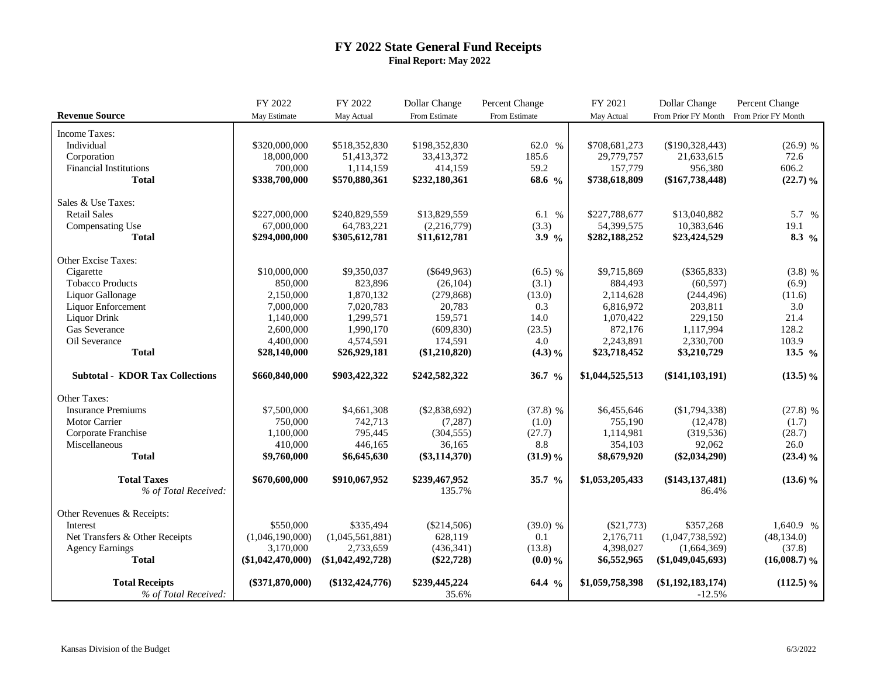## **FY 2022 State General Fund Receipts Final Report: May 2022**

|                                        | FY 2022             | FY 2022             | Dollar Change   | Percent Change     | FY 2021         | Dollar Change       | Percent Change      |
|----------------------------------------|---------------------|---------------------|-----------------|--------------------|-----------------|---------------------|---------------------|
| <b>Revenue Source</b>                  | May Estimate        | May Actual          | From Estimate   | From Estimate      | May Actual      | From Prior FY Month | From Prior FY Month |
| Income Taxes:                          |                     |                     |                 |                    |                 |                     |                     |
| Individual                             | \$320,000,000       | \$518,352,830       | \$198,352,830   | 62.0 %             | \$708,681,273   | (\$190,328,443)     | $(26.9)$ %          |
| Corporation                            | 18,000,000          | 51,413,372          | 33,413,372      | 185.6              | 29,779,757      | 21,633,615          | 72.6                |
| <b>Financial Institutions</b>          | 700,000             | 1,114,159           | 414,159         | 59.2               | 157,779         | 956,380             | 606.2               |
| <b>Total</b>                           | \$338,700,000       | \$570,880,361       | \$232,180,361   | 68.6 %             | \$738,618,809   | $(\$167,738,448)$   | (22.7)%             |
|                                        |                     |                     |                 |                    |                 |                     |                     |
| Sales & Use Taxes:                     |                     |                     |                 |                    |                 |                     |                     |
| <b>Retail Sales</b>                    | \$227,000,000       | \$240,829,559       | \$13,829,559    | 6.1 %              | \$227,788,677   | \$13,040,882        | 5.7 %               |
| Compensating Use                       | 67,000,000          | 64,783,221          | (2,216,779)     | (3.3)              | 54,399,575      | 10,383,646          | 19.1                |
| <b>Total</b>                           | \$294,000,000       | \$305,612,781       | \$11,612,781    | 3.9 $%$            | \$282,188,252   | \$23,424,529        | 8.3 $\frac{9}{6}$   |
| Other Excise Taxes:                    |                     |                     |                 |                    |                 |                     |                     |
| Cigarette                              | \$10,000,000        | \$9,350,037         | $(\$649,963)$   | $(6.5)$ %          | \$9,715,869     | $(\$365,833)$       | $(3.8)$ %           |
| <b>Tobacco Products</b>                | 850,000             | 823,896             | (26, 104)       | (3.1)              | 884,493         | (60, 597)           | (6.9)               |
| Liquor Gallonage                       | 2,150,000           | 1,870,132           | (279, 868)      | (13.0)             | 2,114,628       | (244, 496)          | (11.6)              |
| Liquor Enforcement                     | 7,000,000           | 7,020,783           | 20,783          | 0.3                | 6,816,972       | 203,811             | 3.0                 |
| <b>Liquor Drink</b>                    | 1,140,000           | 1,299,571           | 159,571         | 14.0               | 1,070,422       | 229,150             | 21.4                |
| Gas Severance                          | 2,600,000           | 1,990,170           | (609, 830)      | (23.5)             | 872,176         | 1,117,994           | 128.2               |
| Oil Severance                          | 4,400,000           | 4,574,591           | 174.591         | 4.0                | 2,243,891       | 2,330,700           | 103.9               |
| <b>Total</b>                           | \$28,140,000        | \$26,929,181        | $(\$1,210,820)$ | (4.3)%             | \$23,718,452    | \$3,210,729         | 13.5 $\frac{9}{6}$  |
| <b>Subtotal - KDOR Tax Collections</b> | \$660,840,000       | \$903,422,322       | \$242,582,322   | 36.7 $\frac{9}{6}$ | \$1,044,525,513 | $(\$141, 103, 191)$ | $(13.5)\%$          |
|                                        |                     |                     |                 |                    |                 |                     |                     |
| Other Taxes:                           |                     |                     |                 |                    |                 |                     |                     |
| <b>Insurance Premiums</b>              | \$7,500,000         | \$4,661,308         | (\$2,838,692)   | $(37.8)$ %         | \$6,455,646     | $(\$1,794,338)$     | $(27.8)$ %          |
| Motor Carrier                          | 750,000             | 742,713             | (7, 287)        | (1.0)              | 755,190         | (12, 478)           | (1.7)               |
| Corporate Franchise                    | 1,100,000           | 795,445             | (304, 555)      | (27.7)             | 1,114,981       | (319, 536)          | (28.7)              |
| Miscellaneous                          | 410,000             | 446,165             | 36,165          | $8.8\,$            | 354,103         | 92,062              | 26.0                |
| <b>Total</b>                           | \$9,760,000         | \$6,645,630         | $(\$3,114,370)$ | (31.9)%            | \$8,679,920     | $(\$2,034,290)$     | $(23.4)$ %          |
| <b>Total Taxes</b>                     | \$670,600,000       | \$910,067,952       | \$239,467,952   | 35.7 %             | \$1,053,205,433 | $(\$143, 137, 481)$ | $(13.6)\%$          |
| % of Total Received:                   |                     |                     | 135.7%          |                    |                 | 86.4%               |                     |
| Other Revenues & Receipts:             |                     |                     |                 |                    |                 |                     |                     |
| Interest                               | \$550,000           | \$335,494           | $(\$214,506)$   | $(39.0)$ %         | $(\$21,773)$    | \$357,268           | 1,640.9 %           |
| Net Transfers & Other Receipts         | (1,046,190,000)     | (1,045,561,881)     | 628,119         | 0.1                | 2,176,711       | (1,047,738,592)     | (48, 134.0)         |
| <b>Agency Earnings</b>                 | 3,170,000           | 2,733,659           | (436,341)       | (13.8)             | 4,398,027       | (1,664,369)         | (37.8)              |
| <b>Total</b>                           | $(\$1,042,470,000)$ | $(\$1,042,492,728)$ | $(\$22,728)$    | $(0.0)$ %          | \$6,552,965     | $(\$1,049,045,693)$ | $(16,008.7)\%$      |
| <b>Total Receipts</b>                  | $(\$371,870,000)$   | $(\$132,424,776)$   | \$239,445,224   | 64.4 $\frac{9}{6}$ | \$1,059,758,398 | $(\$1,192,183,174)$ | $(112.5)\%$         |
| % of Total Received:                   |                     |                     | 35.6%           |                    |                 | $-12.5%$            |                     |